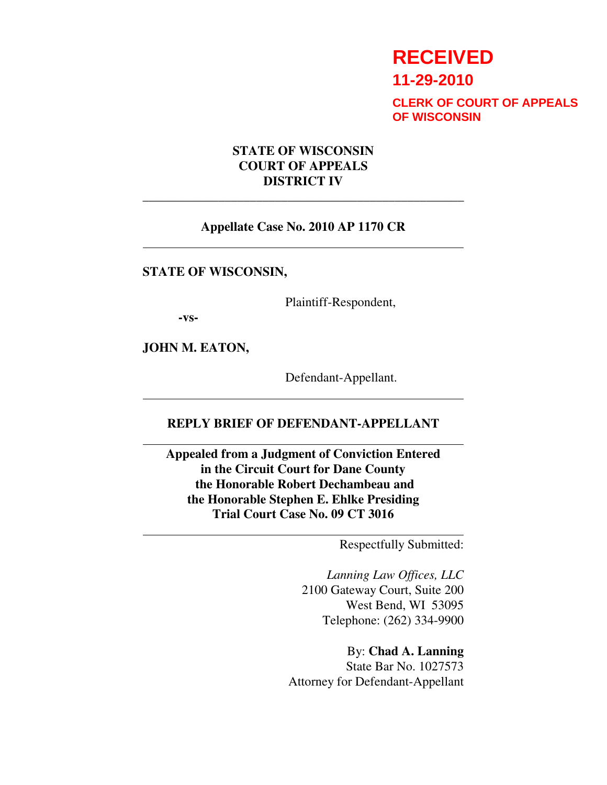# **RECEIVED**

**11-29-2010**

**CLERK OF COURT OF APPEALS OF WISCONSIN**

## **STATE OF WISCONSIN COURT OF APPEALS DISTRICT IV**

#### **Appellate Case No. 2010 AP 1170 CR**

\_\_\_\_\_\_\_\_\_\_\_\_\_\_\_\_\_\_\_\_\_\_\_\_\_\_\_\_\_\_\_\_\_\_\_\_\_\_\_\_\_\_\_\_\_\_\_\_\_\_\_

**STATE OF WISCONSIN,** 

Plaintiff-Respondent,

**-vs-**

 $\overline{a}$ 

 $\overline{\phantom{a}}$ 

 $\overline{\phantom{a}}$ 

 $\overline{a}$ 

**JOHN M. EATON,** 

Defendant-Appellant.

## **REPLY BRIEF OF DEFENDANT-APPELLANT**

**Appealed from a Judgment of Conviction Entered in the Circuit Court for Dane County the Honorable Robert Dechambeau and the Honorable Stephen E. Ehlke Presiding Trial Court Case No. 09 CT 3016** 

Respectfully Submitted:

*Lanning Law Offices, LLC* 2100 Gateway Court, Suite 200 West Bend, WI 53095 Telephone: (262) 334-9900

By: **Chad A. Lanning**  State Bar No. 1027573 Attorney for Defendant-Appellant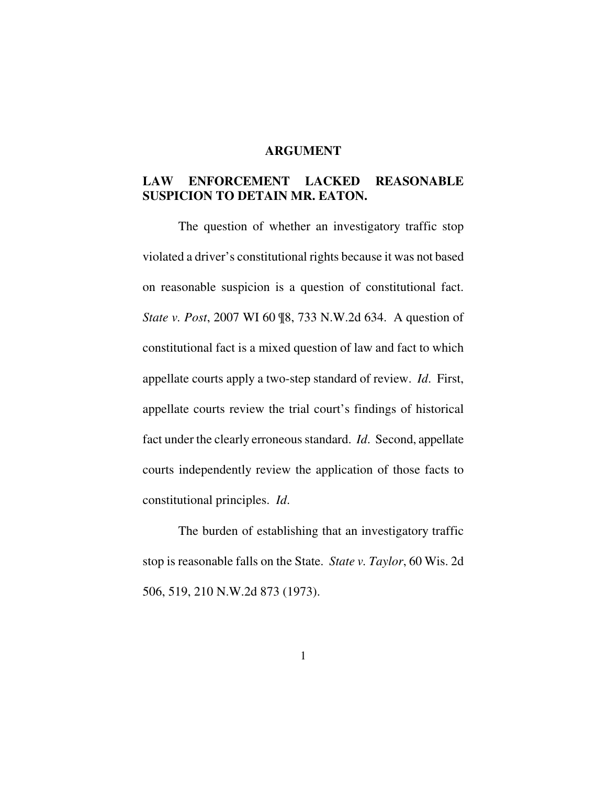#### **ARGUMENT**

# **LAW ENFORCEMENT LACKED REASONABLE SUSPICION TO DETAIN MR. EATON.**

 The question of whether an investigatory traffic stop violated a driver's constitutional rights because it was not based on reasonable suspicion is a question of constitutional fact. *State v. Post*, 2007 WI 60 ¶8, 733 N.W.2d 634. A question of constitutional fact is a mixed question of law and fact to which appellate courts apply a two-step standard of review. *Id*. First, appellate courts review the trial court's findings of historical fact under the clearly erroneous standard. *Id*. Second, appellate courts independently review the application of those facts to constitutional principles. *Id*.

 The burden of establishing that an investigatory traffic stop is reasonable falls on the State. *State v. Taylor*, 60 Wis. 2d 506, 519, 210 N.W.2d 873 (1973).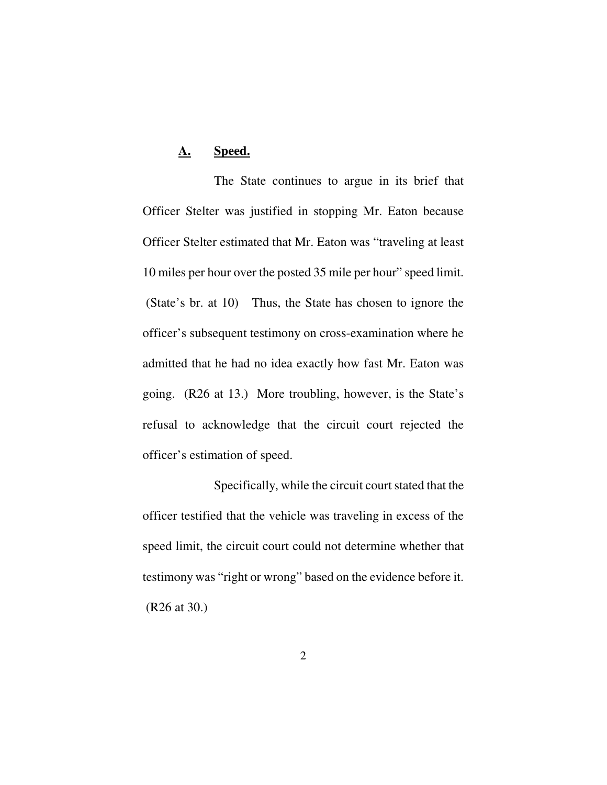# **A. Speed.**

 The State continues to argue in its brief that Officer Stelter was justified in stopping Mr. Eaton because Officer Stelter estimated that Mr. Eaton was "traveling at least 10 miles per hour over the posted 35 mile per hour" speed limit. (State's br. at 10) Thus, the State has chosen to ignore the officer's subsequent testimony on cross-examination where he admitted that he had no idea exactly how fast Mr. Eaton was going. (R26 at 13.) More troubling, however, is the State's refusal to acknowledge that the circuit court rejected the officer's estimation of speed.

 Specifically, while the circuit court stated that the officer testified that the vehicle was traveling in excess of the speed limit, the circuit court could not determine whether that testimony was "right or wrong" based on the evidence before it. (R26 at 30.)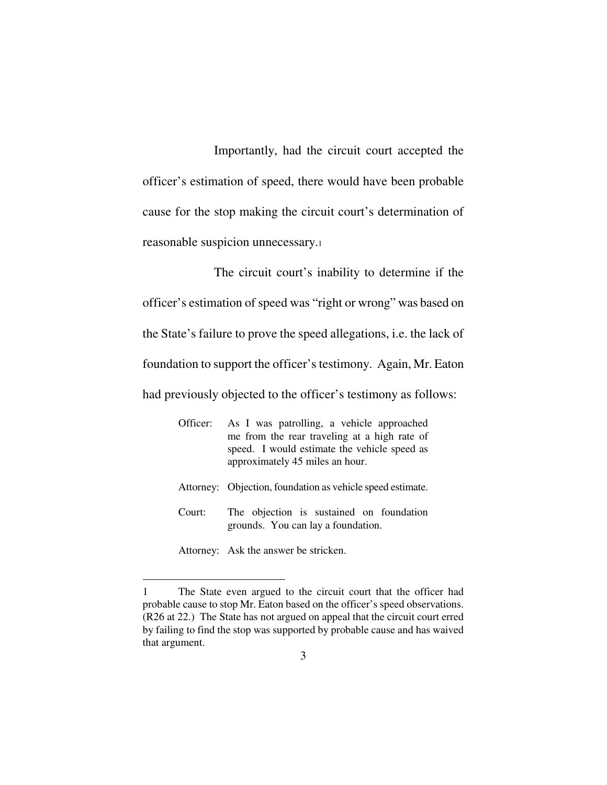Importantly, had the circuit court accepted the officer's estimation of speed, there would have been probable cause for the stop making the circuit court's determination of reasonable suspicion unnecessary.<sup>1</sup>

 The circuit court's inability to determine if the officer's estimation of speed was "right or wrong" was based on the State's failure to prove the speed allegations, i.e. the lack of foundation to support the officer's testimony. Again, Mr. Eaton had previously objected to the officer's testimony as follows:

| Officer: | As I was patrolling, a vehicle approached<br>me from the rear traveling at a high rate of<br>speed. I would estimate the vehicle speed as<br>approximately 45 miles an hour. |
|----------|------------------------------------------------------------------------------------------------------------------------------------------------------------------------------|
|          | Attorney: Objection, foundation as vehicle speed estimate.                                                                                                                   |
| Court:   | The objection is sustained on foundation<br>grounds. You can lay a foundation.                                                                                               |

<sup>-</sup>1 The State even argued to the circuit court that the officer had probable cause to stop Mr. Eaton based on the officer's speed observations. (R26 at 22.) The State has not argued on appeal that the circuit court erred by failing to find the stop was supported by probable cause and has waived that argument.

Attorney: Ask the answer be stricken.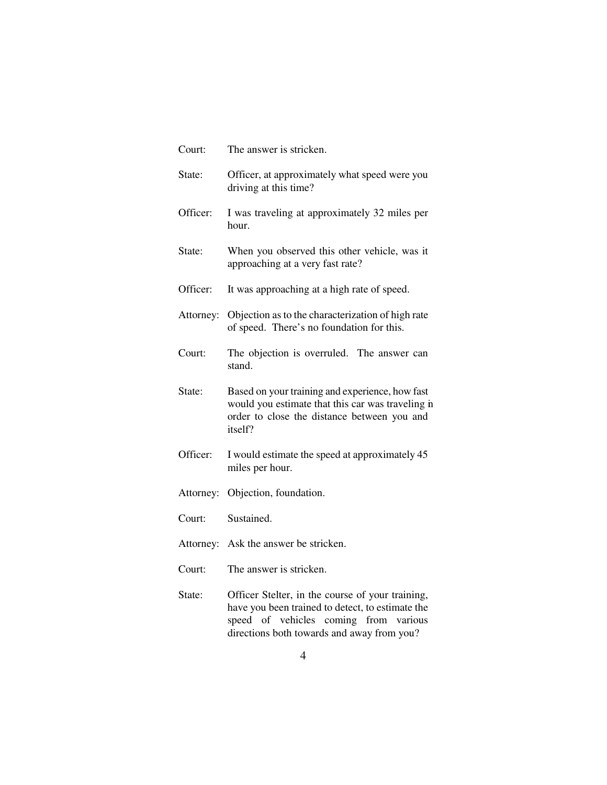| Court:    | The answer is stricken.                                                                                                                                        |
|-----------|----------------------------------------------------------------------------------------------------------------------------------------------------------------|
| State:    | Officer, at approximately what speed were you<br>driving at this time?                                                                                         |
| Officer:  | I was traveling at approximately 32 miles per<br>hour.                                                                                                         |
| State:    | When you observed this other vehicle, was it<br>approaching at a very fast rate?                                                                               |
| Officer:  | It was approaching at a high rate of speed.                                                                                                                    |
| Attorney: | Objection as to the characterization of high rate<br>of speed. There's no foundation for this.                                                                 |
| Court:    | The objection is overruled. The answer can<br>stand.                                                                                                           |
| State:    | Based on your training and experience, how fast<br>would you estimate that this car was traveling in<br>order to close the distance between you and<br>itself? |
| Officer:  | I would estimate the speed at approximately 45<br>miles per hour.                                                                                              |
| Attorney: | Objection, foundation.                                                                                                                                         |
| Court:    | Sustained.                                                                                                                                                     |
|           | Attorney: Ask the answer be stricken.                                                                                                                          |
| Court:    | The answer is stricken.                                                                                                                                        |
| State:    | Officer Stelter, in the course of your training,<br>have you been trained to detect, to estimate the<br>of vehicles coming from<br>speed<br>various            |

directions both towards and away from you?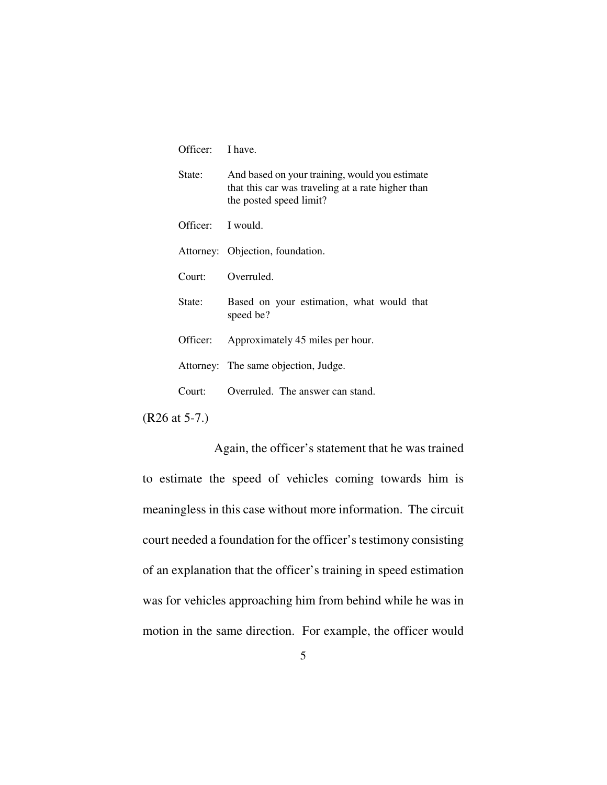| Officer:          | I have.                                                                                                                        |
|-------------------|--------------------------------------------------------------------------------------------------------------------------------|
| State:            | And based on your training, would you estimate<br>that this car was traveling at a rate higher than<br>the posted speed limit? |
| Officer: I would. |                                                                                                                                |
|                   | Attorney: Objection, foundation.                                                                                               |
| Court:            | Overruled.                                                                                                                     |
| State:            | Based on your estimation, what would that<br>speed be?                                                                         |
| Officer:          | Approximately 45 miles per hour.                                                                                               |
|                   | Attorney: The same objection, Judge.                                                                                           |
| Conrt             | Overruled. The answer can stand.                                                                                               |

(R26 at 5-7.)

 Again, the officer's statement that he was trained to estimate the speed of vehicles coming towards him is meaningless in this case without more information. The circuit court needed a foundation for the officer's testimony consisting of an explanation that the officer's training in speed estimation was for vehicles approaching him from behind while he was in motion in the same direction. For example, the officer would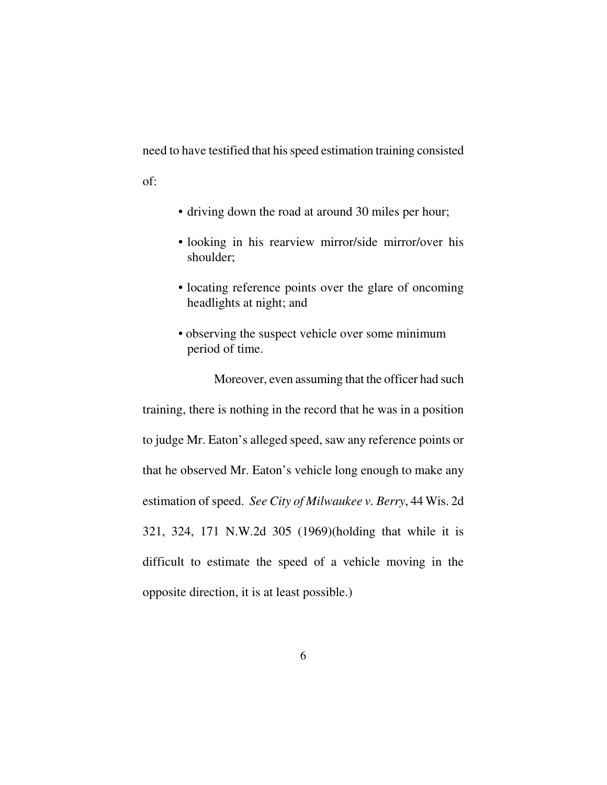need to have testified that his speed estimation training consisted

of:

- driving down the road at around 30 miles per hour;
- looking in his rearview mirror/side mirror/over his shoulder;
- locating reference points over the glare of oncoming headlights at night; and
- observing the suspect vehicle over some minimum period of time.

 Moreover, even assuming that the officer had such training, there is nothing in the record that he was in a position to judge Mr. Eaton's alleged speed, saw any reference points or that he observed Mr. Eaton's vehicle long enough to make any estimation of speed. *See City of Milwaukee v. Berry*, 44 Wis. 2d 321, 324, 171 N.W.2d 305 (1969)(holding that while it is difficult to estimate the speed of a vehicle moving in the opposite direction, it is at least possible.)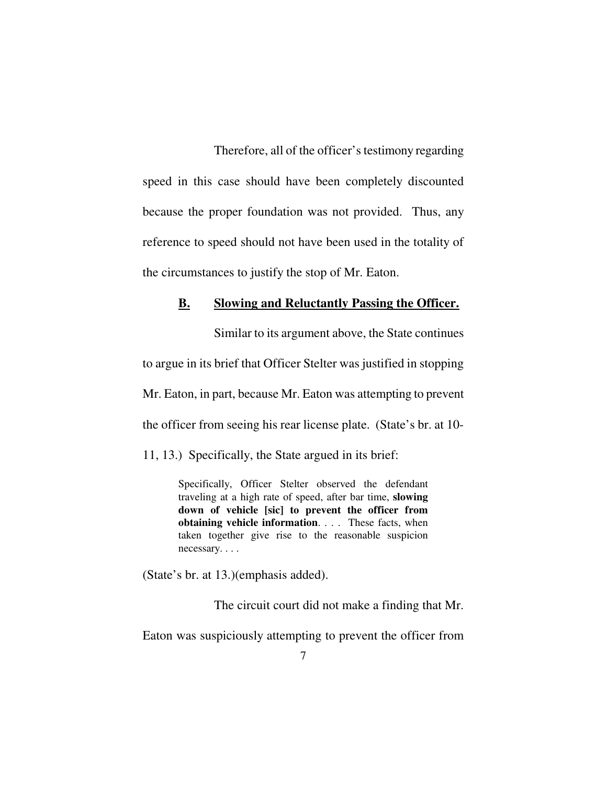Therefore, all of the officer's testimony regarding speed in this case should have been completely discounted because the proper foundation was not provided. Thus, any reference to speed should not have been used in the totality of the circumstances to justify the stop of Mr. Eaton.

#### **B. Slowing and Reluctantly Passing the Officer.**

 Similar to its argument above, the State continues to argue in its brief that Officer Stelter was justified in stopping Mr. Eaton, in part, because Mr. Eaton was attempting to prevent the officer from seeing his rear license plate. (State's br. at 10-

11, 13.) Specifically, the State argued in its brief:

Specifically, Officer Stelter observed the defendant traveling at a high rate of speed, after bar time, **slowing down of vehicle [sic] to prevent the officer from obtaining vehicle information**. . . . These facts, when taken together give rise to the reasonable suspicion necessary. . . .

(State's br. at 13.)(emphasis added).

The circuit court did not make a finding that Mr.

Eaton was suspiciously attempting to prevent the officer from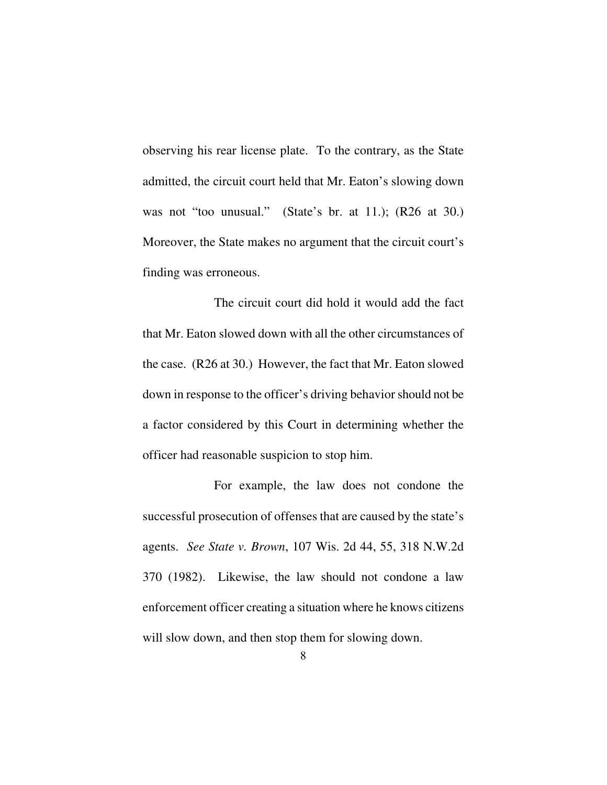observing his rear license plate. To the contrary, as the State admitted, the circuit court held that Mr. Eaton's slowing down was not "too unusual." (State's br. at 11.); (R26 at 30.) Moreover, the State makes no argument that the circuit court's finding was erroneous.

 The circuit court did hold it would add the fact that Mr. Eaton slowed down with all the other circumstances of the case. (R26 at 30.) However, the fact that Mr. Eaton slowed down in response to the officer's driving behavior should not be a factor considered by this Court in determining whether the officer had reasonable suspicion to stop him.

 For example, the law does not condone the successful prosecution of offenses that are caused by the state's agents. *See State v. Brown*, 107 Wis. 2d 44, 55, 318 N.W.2d 370 (1982). Likewise, the law should not condone a law enforcement officer creating a situation where he knows citizens will slow down, and then stop them for slowing down.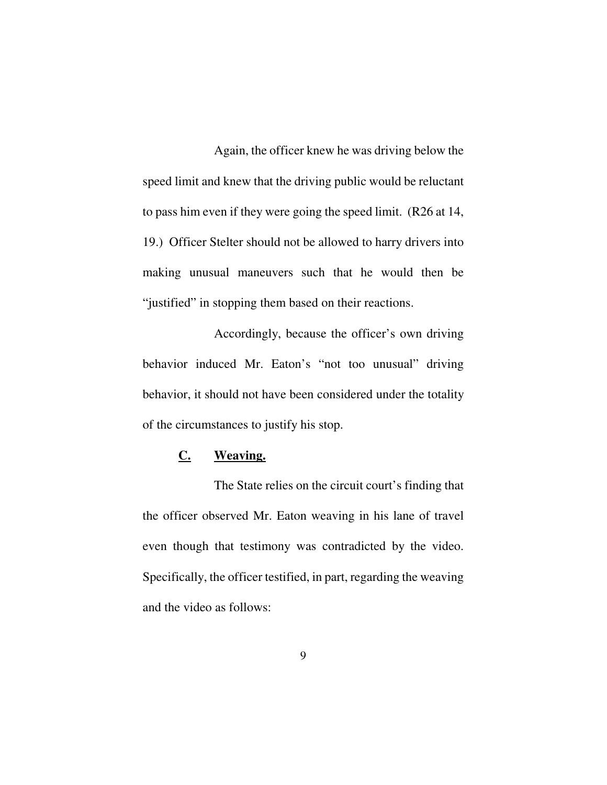Again, the officer knew he was driving below the speed limit and knew that the driving public would be reluctant to pass him even if they were going the speed limit. (R26 at 14, 19.) Officer Stelter should not be allowed to harry drivers into making unusual maneuvers such that he would then be "justified" in stopping them based on their reactions.

 Accordingly, because the officer's own driving behavior induced Mr. Eaton's "not too unusual" driving behavior, it should not have been considered under the totality of the circumstances to justify his stop.

# **C. Weaving.**

 The State relies on the circuit court's finding that the officer observed Mr. Eaton weaving in his lane of travel even though that testimony was contradicted by the video. Specifically, the officer testified, in part, regarding the weaving and the video as follows: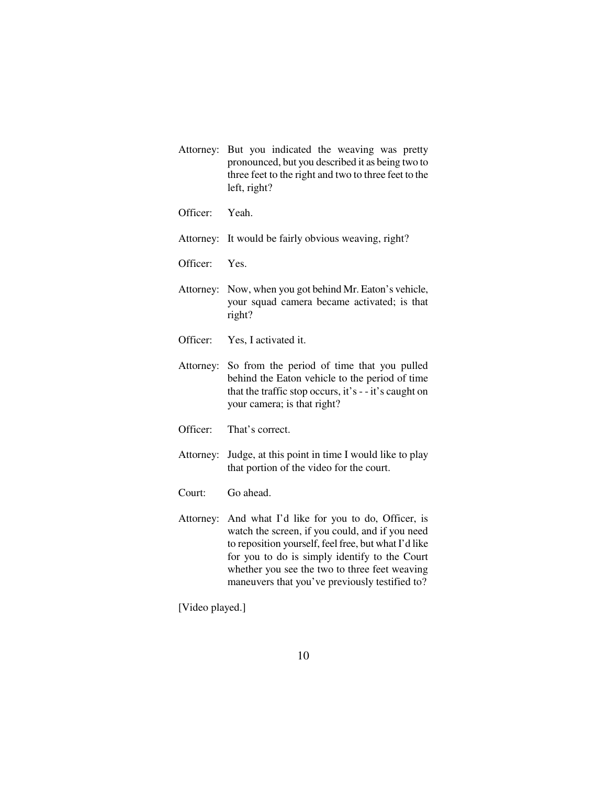- Attorney: But you indicated the weaving was pretty pronounced, but you described it as being two to three feet to the right and two to three feet to the left, right?
- Officer: Yeah.
- Attorney: It would be fairly obvious weaving, right?
- Officer: Yes.
- Attorney: Now, when you got behind Mr. Eaton's vehicle, your squad camera became activated; is that right?
- Officer: Yes, I activated it.
- Attorney: So from the period of time that you pulled behind the Eaton vehicle to the period of time that the traffic stop occurs, it's - - it's caught on your camera; is that right?
- Officer: That's correct.

Attorney: Judge, at this point in time I would like to play that portion of the video for the court.

- Court: Go ahead.
- Attorney: And what I'd like for you to do, Officer, is watch the screen, if you could, and if you need to reposition yourself, feel free, but what I'd like for you to do is simply identify to the Court whether you see the two to three feet weaving maneuvers that you've previously testified to?

[Video played.]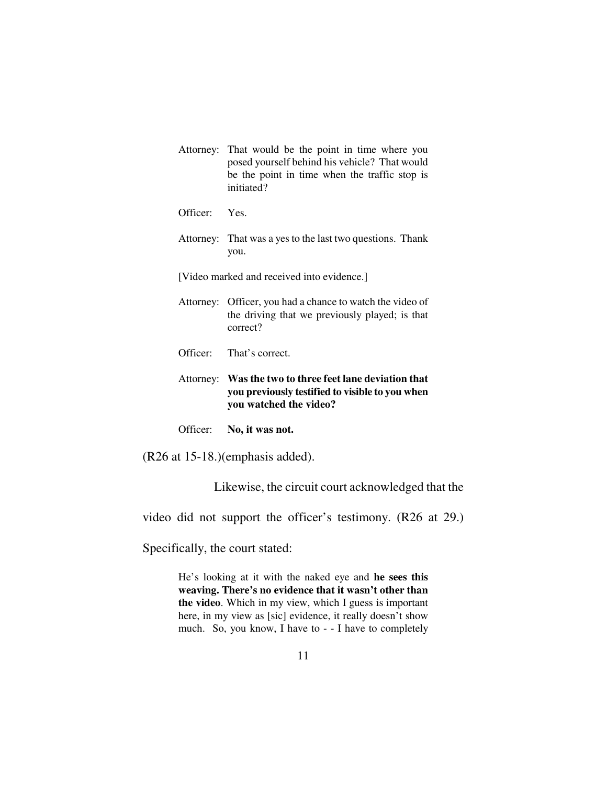| Attorney: That would be the point in time where you |
|-----------------------------------------------------|
| posed yourself behind his vehicle? That would       |
| be the point in time when the traffic stop is       |
| initiated?                                          |

Officer: Yes.

Attorney: That was a yes to the last two questions. Thank you.

[Video marked and received into evidence.]

- Attorney: Officer, you had a chance to watch the video of the driving that we previously played; is that correct?
- Officer: That's correct.

#### Attorney: **Was the two to three feet lane deviation that you previously testified to visible to you when you watched the video?**

Officer: **No, it was not.**

(R26 at 15-18.)(emphasis added).

Likewise, the circuit court acknowledged that the

video did not support the officer's testimony. (R26 at 29.)

Specifically, the court stated:

He's looking at it with the naked eye and **he sees this weaving. There's no evidence that it wasn't other than the video**. Which in my view, which I guess is important here, in my view as [sic] evidence, it really doesn't show much. So, you know, I have to - - I have to completely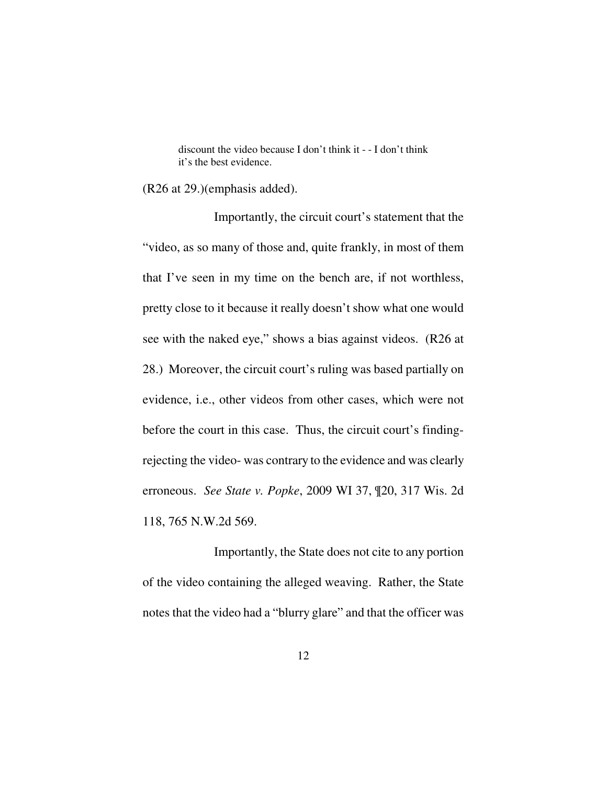discount the video because I don't think it - - I don't think it's the best evidence.

(R26 at 29.)(emphasis added).

 Importantly, the circuit court's statement that the "video, as so many of those and, quite frankly, in most of them that I've seen in my time on the bench are, if not worthless, pretty close to it because it really doesn't show what one would see with the naked eye," shows a bias against videos. (R26 at 28.) Moreover, the circuit court's ruling was based partially on evidence, i.e., other videos from other cases, which were not before the court in this case. Thus, the circuit court's findingrejecting the video- was contrary to the evidence and was clearly erroneous. *See State v. Popke*, 2009 WI 37, ¶20, 317 Wis. 2d 118, 765 N.W.2d 569.

 Importantly, the State does not cite to any portion of the video containing the alleged weaving. Rather, the State notes that the video had a "blurry glare" and that the officer was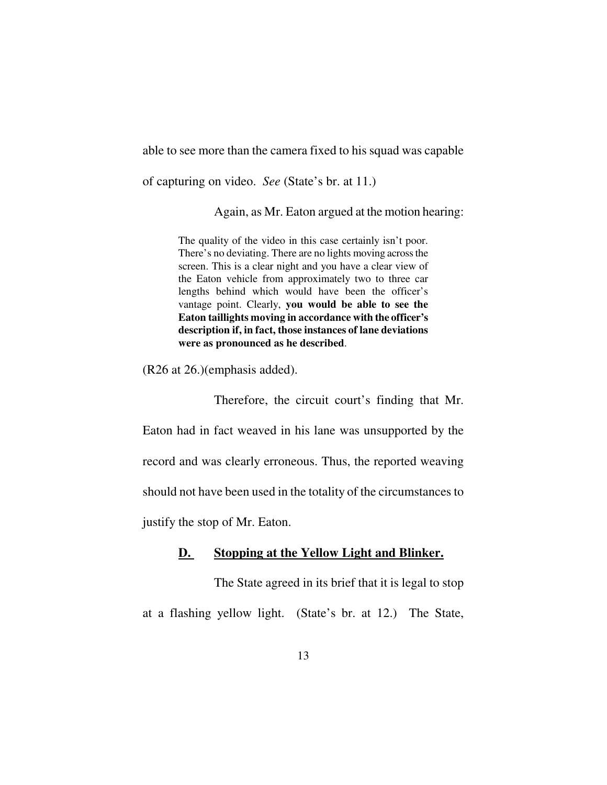able to see more than the camera fixed to his squad was capable

of capturing on video. *See* (State's br. at 11.)

Again, as Mr. Eaton argued at the motion hearing:

The quality of the video in this case certainly isn't poor. There's no deviating. There are no lights moving across the screen. This is a clear night and you have a clear view of the Eaton vehicle from approximately two to three car lengths behind which would have been the officer's vantage point. Clearly, **you would be able to see the Eaton taillights moving in accordance with the officer's description if, in fact, those instances of lane deviations were as pronounced as he described**.

(R26 at 26.)(emphasis added).

 Therefore, the circuit court's finding that Mr. Eaton had in fact weaved in his lane was unsupported by the record and was clearly erroneous. Thus, the reported weaving should not have been used in the totality of the circumstances to

justify the stop of Mr. Eaton.

## **D. Stopping at the Yellow Light and Blinker.**

 The State agreed in its brief that it is legal to stop at a flashing yellow light. (State's br. at 12.) The State,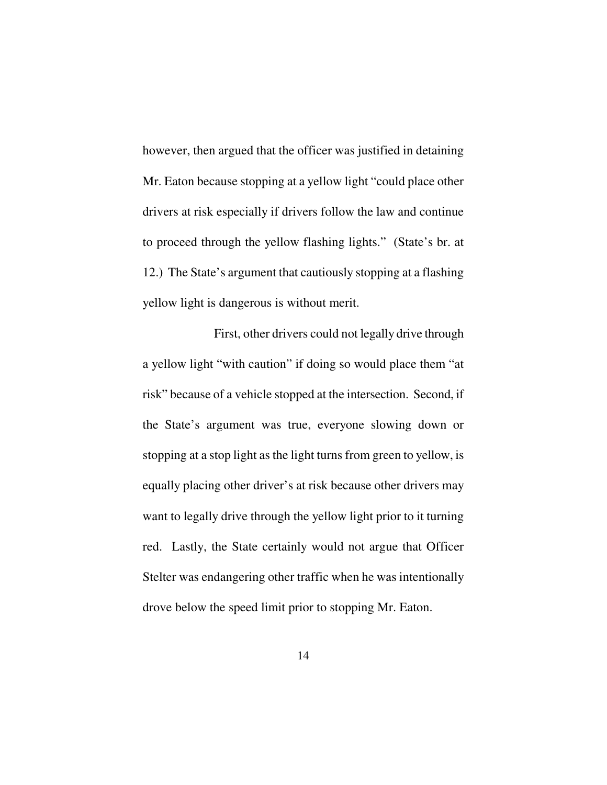however, then argued that the officer was justified in detaining Mr. Eaton because stopping at a yellow light "could place other drivers at risk especially if drivers follow the law and continue to proceed through the yellow flashing lights." (State's br. at 12.) The State's argument that cautiously stopping at a flashing yellow light is dangerous is without merit.

 First, other drivers could not legally drive through a yellow light "with caution" if doing so would place them "at risk" because of a vehicle stopped at the intersection. Second, if the State's argument was true, everyone slowing down or stopping at a stop light as the light turns from green to yellow, is equally placing other driver's at risk because other drivers may want to legally drive through the yellow light prior to it turning red. Lastly, the State certainly would not argue that Officer Stelter was endangering other traffic when he was intentionally drove below the speed limit prior to stopping Mr. Eaton.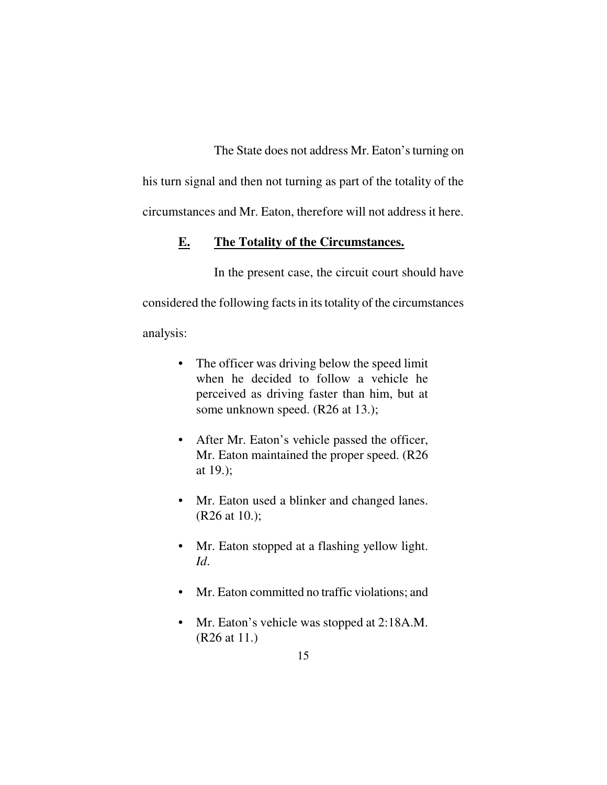The State does not address Mr. Eaton's turning on

his turn signal and then not turning as part of the totality of the circumstances and Mr. Eaton, therefore will not address it here.

## **E. The Totality of the Circumstances.**

 In the present case, the circuit court should have considered the following facts in its totality of the circumstances analysis:

- The officer was driving below the speed limit when he decided to follow a vehicle he perceived as driving faster than him, but at some unknown speed. (R26 at 13.);
- After Mr. Eaton's vehicle passed the officer, Mr. Eaton maintained the proper speed. (R26 at 19.);
- Mr. Eaton used a blinker and changed lanes. (R26 at 10.);
- Mr. Eaton stopped at a flashing yellow light. *Id*.
- Mr. Eaton committed no traffic violations; and
- Mr. Eaton's vehicle was stopped at 2:18A.M. (R26 at 11.)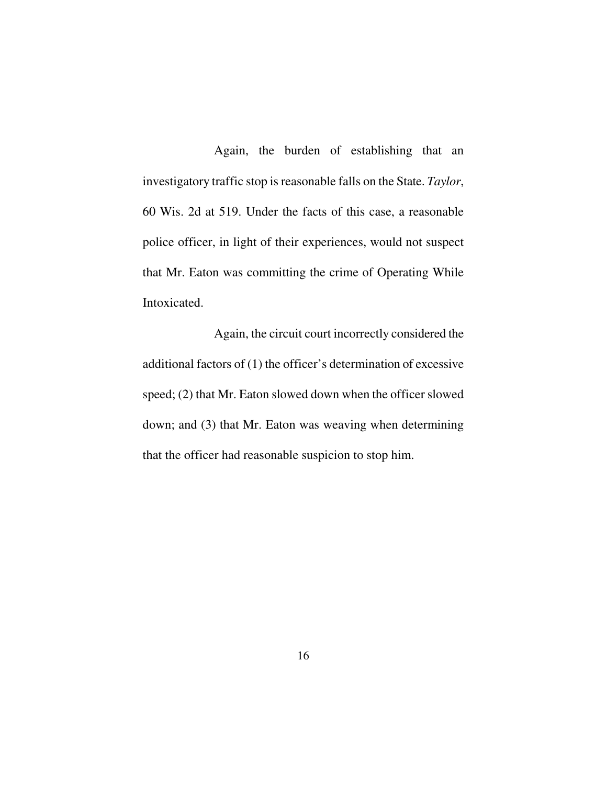Again, the burden of establishing that an investigatory traffic stop is reasonable falls on the State. *Taylor*, 60 Wis. 2d at 519. Under the facts of this case, a reasonable police officer, in light of their experiences, would not suspect that Mr. Eaton was committing the crime of Operating While Intoxicated.

Again, the circuit court incorrectly considered the additional factors of (1) the officer's determination of excessive speed; (2) that Mr. Eaton slowed down when the officer slowed down; and (3) that Mr. Eaton was weaving when determining that the officer had reasonable suspicion to stop him.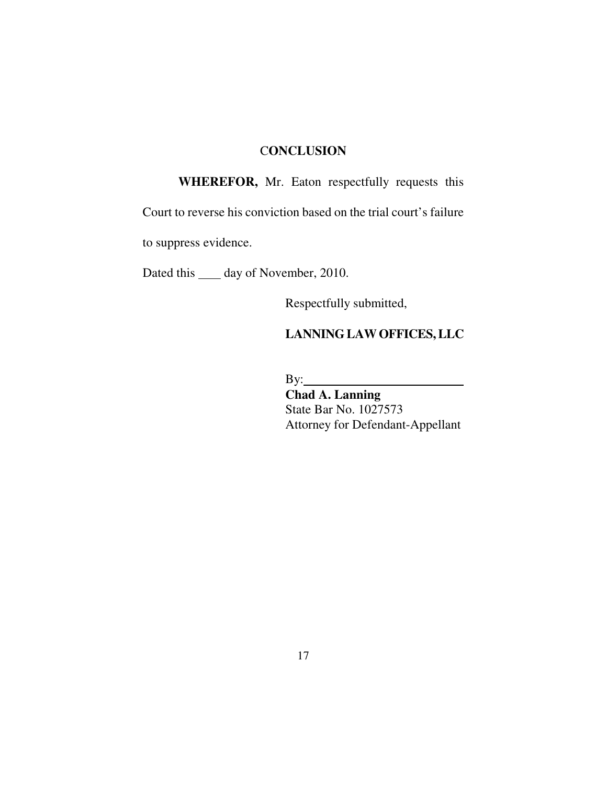## C**ONCLUSION**

 **WHEREFOR,** Mr. Eaton respectfully requests this

Court to reverse his conviction based on the trial court's failure

to suppress evidence.

Dated this \_\_\_\_\_ day of November, 2010.

Respectfully submitted,

# **LANNING LAW OFFICES, LLC**

By:

 **Chad A. Lanning** State Bar No. 1027573 Attorney for Defendant-Appellant